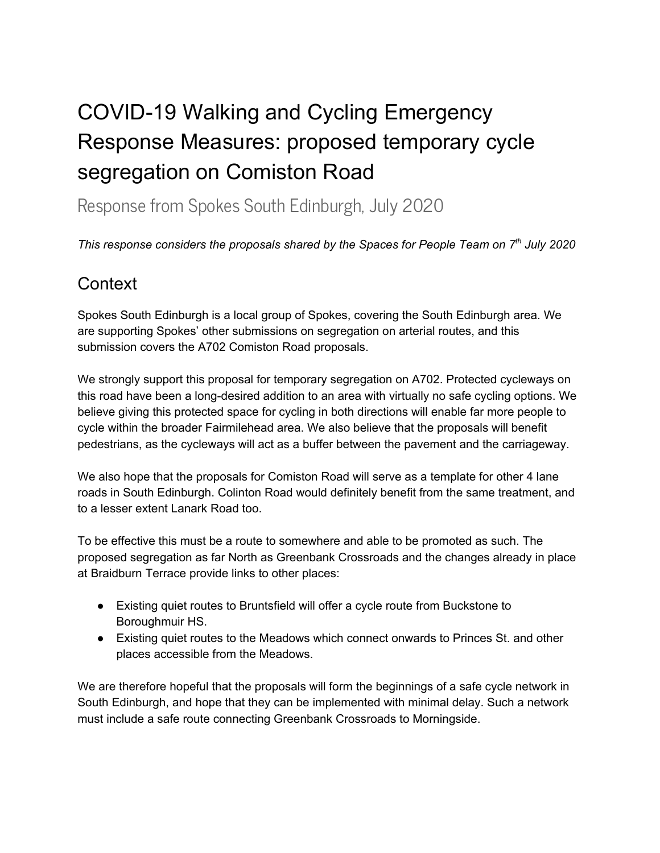# COVID-19 Walking and Cycling Emergency Response Measures: proposed temporary cycle segregation on Comiston Road

Response from Spokes South Edinburgh, July 2020

*This response considers the proposals shared by the Spaces for People Team on 7 th July 2020*

# **Context**

Spokes South Edinburgh is a local group of Spokes, covering the South Edinburgh area. We are supporting Spokes' other submissions on segregation on arterial routes, and this submission covers the A702 Comiston Road proposals.

We strongly support this proposal for temporary segregation on A702. Protected cycleways on this road have been a long-desired addition to an area with virtually no safe cycling options. We believe giving this protected space for cycling in both directions will enable far more people to cycle within the broader Fairmilehead area. We also believe that the proposals will benefit pedestrians, as the cycleways will act as a buffer between the pavement and the carriageway.

We also hope that the proposals for Comiston Road will serve as a template for other 4 lane roads in South Edinburgh. Colinton Road would definitely benefit from the same treatment, and to a lesser extent Lanark Road too.

To be effective this must be a route to somewhere and able to be promoted as such. The proposed segregation as far North as Greenbank Crossroads and the changes already in place at Braidburn Terrace provide links to other places:

- Existing quiet routes to Bruntsfield will offer a cycle route from Buckstone to Boroughmuir HS.
- Existing quiet routes to the Meadows which connect onwards to Princes St. and other places accessible from the Meadows.

We are therefore hopeful that the proposals will form the beginnings of a safe cycle network in South Edinburgh, and hope that they can be implemented with minimal delay. Such a network must include a safe route connecting Greenbank Crossroads to Morningside.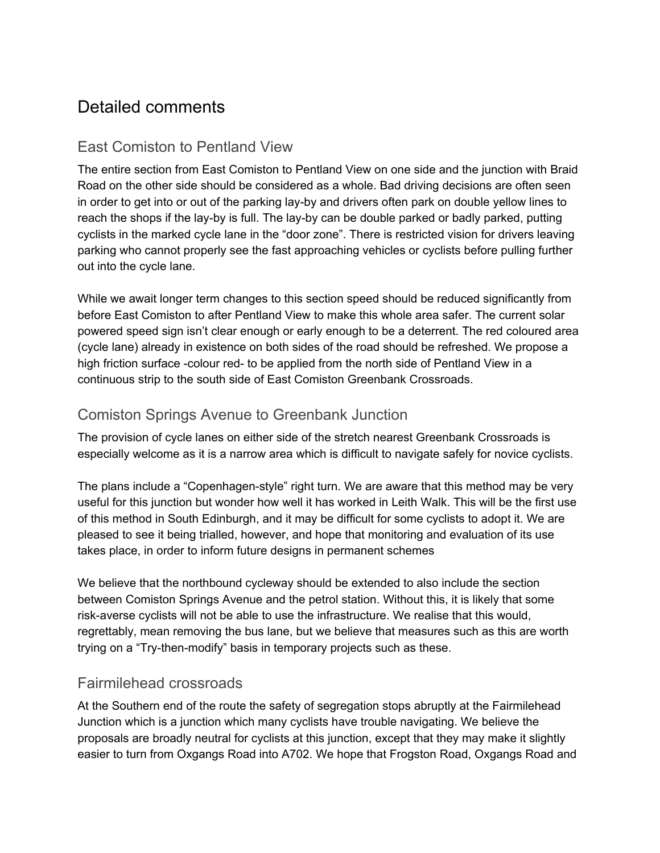# Detailed comments

# East Comiston to Pentland View

The entire section from East Comiston to Pentland View on one side and the junction with Braid Road on the other side should be considered as a whole. Bad driving decisions are often seen in order to get into or out of the parking lay-by and drivers often park on double yellow lines to reach the shops if the lay-by is full. The lay-by can be double parked or badly parked, putting cyclists in the marked cycle lane in the "door zone". There is restricted vision for drivers leaving parking who cannot properly see the fast approaching vehicles or cyclists before pulling further out into the cycle lane.

While we await longer term changes to this section speed should be reduced significantly from before East Comiston to after Pentland View to make this whole area safer. The current solar powered speed sign isn't clear enough or early enough to be a deterrent. The red coloured area (cycle lane) already in existence on both sides of the road should be refreshed. We propose a high friction surface -colour red- to be applied from the north side of Pentland View in a continuous strip to the south side of East Comiston Greenbank Crossroads.

## Comiston Springs Avenue to Greenbank Junction

The provision of cycle lanes on either side of the stretch nearest Greenbank Crossroads is especially welcome as it is a narrow area which is difficult to navigate safely for novice cyclists.

The plans include a "Copenhagen-style" right turn. We are aware that this method may be very useful for this junction but wonder how well it has worked in Leith Walk. This will be the first use of this method in South Edinburgh, and it may be difficult for some cyclists to adopt it. We are pleased to see it being trialled, however, and hope that monitoring and evaluation of its use takes place, in order to inform future designs in permanent schemes

We believe that the northbound cycleway should be extended to also include the section between Comiston Springs Avenue and the petrol station. Without this, it is likely that some risk-averse cyclists will not be able to use the infrastructure. We realise that this would, regrettably, mean removing the bus lane, but we believe that measures such as this are worth trying on a "Try-then-modify" basis in temporary projects such as these.

#### Fairmilehead crossroads

At the Southern end of the route the safety of segregation stops abruptly at the Fairmilehead Junction which is a junction which many cyclists have trouble navigating. We believe the proposals are broadly neutral for cyclists at this junction, except that they may make it slightly easier to turn from Oxgangs Road into A702. We hope that Frogston Road, Oxgangs Road and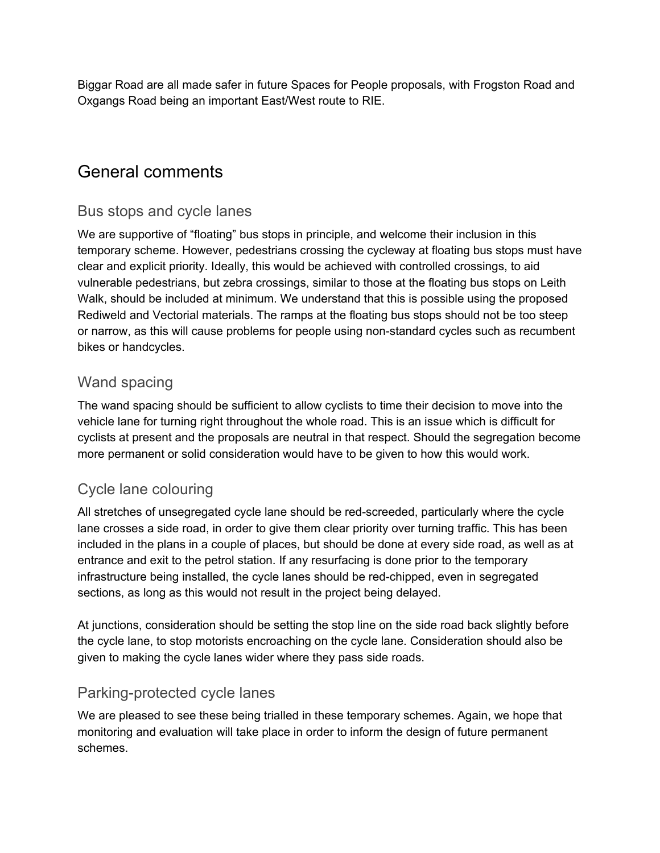Biggar Road are all made safer in future Spaces for People proposals, with Frogston Road and Oxgangs Road being an important East/West route to RIE.

# General comments

#### Bus stops and cycle lanes

We are supportive of "floating" bus stops in principle, and welcome their inclusion in this temporary scheme. However, pedestrians crossing the cycleway at floating bus stops must have clear and explicit priority. Ideally, this would be achieved with controlled crossings, to aid vulnerable pedestrians, but zebra crossings, similar to those at the floating bus stops on Leith Walk, should be included at minimum. We understand that this is possible using the proposed Rediweld and Vectorial materials. The ramps at the floating bus stops should not be too steep or narrow, as this will cause problems for people using non-standard cycles such as recumbent bikes or handcycles.

#### Wand spacing

The wand spacing should be sufficient to allow cyclists to time their decision to move into the vehicle lane for turning right throughout the whole road. This is an issue which is difficult for cyclists at present and the proposals are neutral in that respect. Should the segregation become more permanent or solid consideration would have to be given to how this would work.

## Cycle lane colouring

All stretches of unsegregated cycle lane should be red-screeded, particularly where the cycle lane crosses a side road, in order to give them clear priority over turning traffic. This has been included in the plans in a couple of places, but should be done at every side road, as well as at entrance and exit to the petrol station. If any resurfacing is done prior to the temporary infrastructure being installed, the cycle lanes should be red-chipped, even in segregated sections, as long as this would not result in the project being delayed.

At junctions, consideration should be setting the stop line on the side road back slightly before the cycle lane, to stop motorists encroaching on the cycle lane. Consideration should also be given to making the cycle lanes wider where they pass side roads.

#### Parking-protected cycle lanes

We are pleased to see these being trialled in these temporary schemes. Again, we hope that monitoring and evaluation will take place in order to inform the design of future permanent schemes.